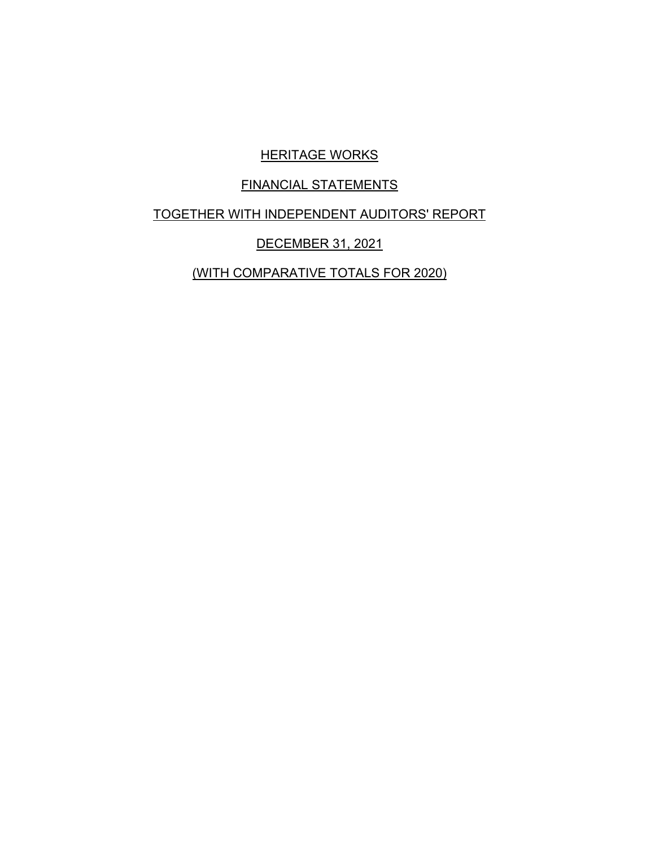# **HERITAGE WORKS**

# FINANCIAL STATEMENTS

TOGETHER WITH INDEPENDENT AUDITORS' REPORT

# DECEMBER 31, 2021

(WITH COMPARATIVE TOTALS FOR 2020)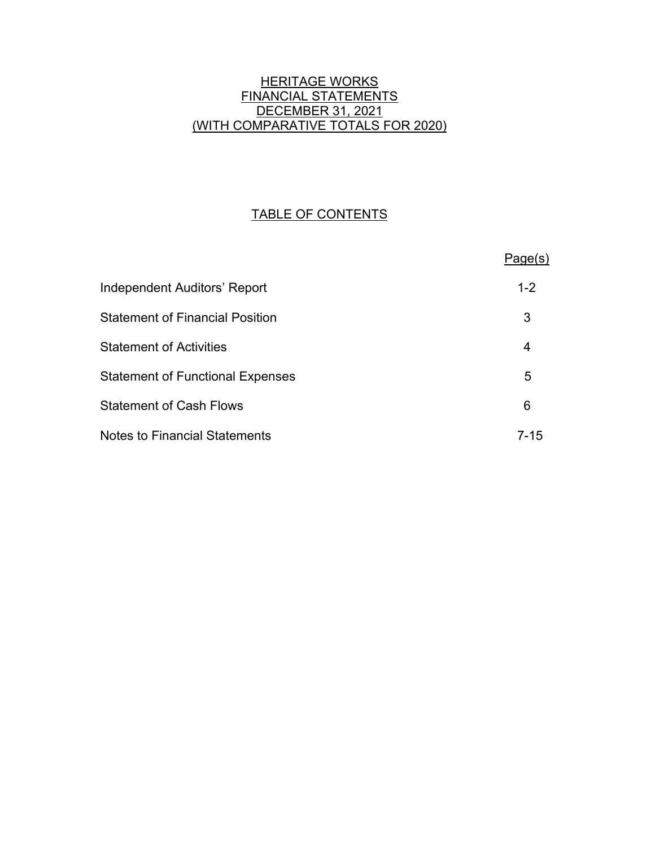# **HERITAGE WORKS** FINANCIAL STATEMENTS DECEMBER 31, 2021 (WITH COMPARATIVE TOTALS FOR 2020)

# TABLE OF CONTENTS

|                                         | Page(s) |
|-----------------------------------------|---------|
| <b>Independent Auditors' Report</b>     | $1 - 2$ |
| <b>Statement of Financial Position</b>  | 3       |
| <b>Statement of Activities</b>          | 4       |
| <b>Statement of Functional Expenses</b> | 5       |
| <b>Statement of Cash Flows</b>          | 6       |
| <b>Notes to Financial Statements</b>    | 7-15    |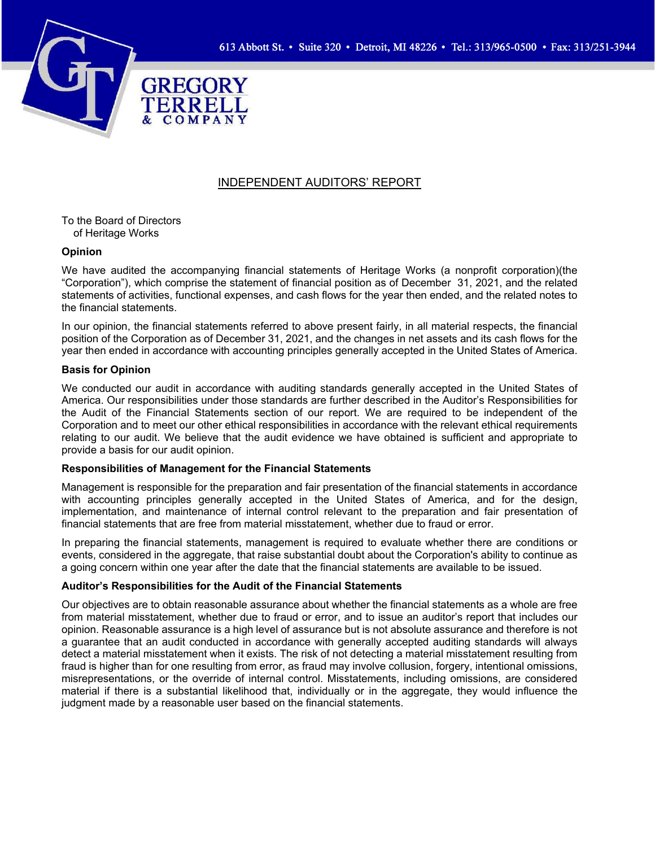

#### INDEPENDENT AUDITORS' REPORT

To the Board of Directors of Heritage Works

#### **Opinion**

We have audited the accompanying financial statements of Heritage Works (a nonprofit corporation)(the "Corporation"), which comprise the statement of financial position as of December 31, 2021, and the related statements of activities, functional expenses, and cash flows for the year then ended, and the related notes to the financial statements.

In our opinion, the financial statements referred to above present fairly, in all material respects, the financial position of the Corporation as of December 31, 2021, and the changes in net assets and its cash flows for the year then ended in accordance with accounting principles generally accepted in the United States of America.

#### **Basis for Opinion**

We conducted our audit in accordance with auditing standards generally accepted in the United States of America. Our responsibilities under those standards are further described in the Auditor's Responsibilities for the Audit of the Financial Statements section of our report. We are required to be independent of the Corporation and to meet our other ethical responsibilities in accordance with the relevant ethical requirements relating to our audit. We believe that the audit evidence we have obtained is sufficient and appropriate to provide a basis for our audit opinion.

#### **Responsibilities of Management for the Financial Statements**

Management is responsible for the preparation and fair presentation of the financial statements in accordance with accounting principles generally accepted in the United States of America, and for the design, implementation, and maintenance of internal control relevant to the preparation and fair presentation of financial statements that are free from material misstatement, whether due to fraud or error.

In preparing the financial statements, management is required to evaluate whether there are conditions or events, considered in the aggregate, that raise substantial doubt about the Corporation's ability to continue as a going concern within one year after the date that the financial statements are available to be issued.

#### **Auditor's Responsibilities for the Audit of the Financial Statements**

Our objectives are to obtain reasonable assurance about whether the financial statements as a whole are free from material misstatement, whether due to fraud or error, and to issue an auditor's report that includes our opinion. Reasonable assurance is a high level of assurance but is not absolute assurance and therefore is not a guarantee that an audit conducted in accordance with generally accepted auditing standards will always detect a material misstatement when it exists. The risk of not detecting a material misstatement resulting from fraud is higher than for one resulting from error, as fraud may involve collusion, forgery, intentional omissions, misrepresentations, or the override of internal control. Misstatements, including omissions, are considered material if there is a substantial likelihood that, individually or in the aggregate, they would influence the judgment made by a reasonable user based on the financial statements.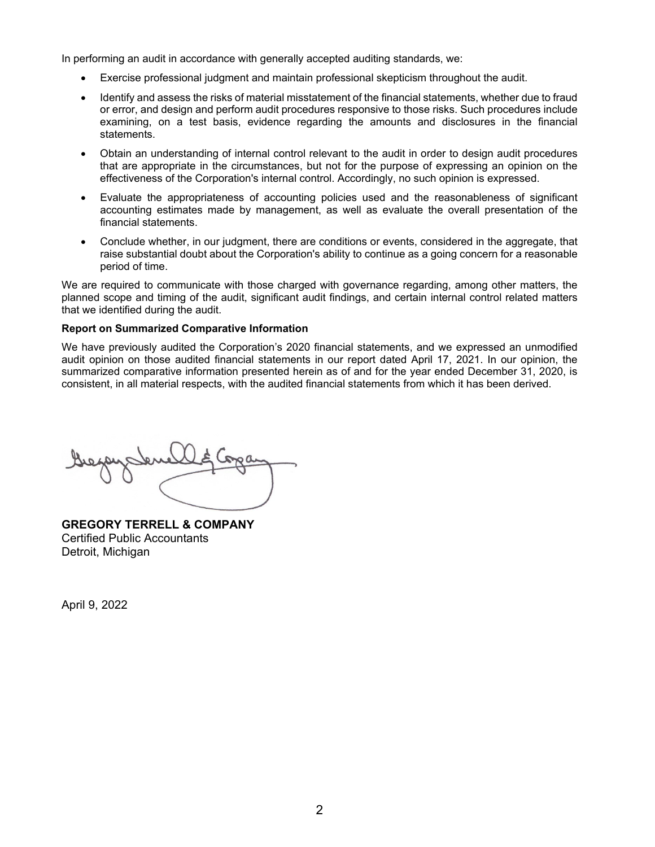In performing an audit in accordance with generally accepted auditing standards, we:

- Exercise professional judgment and maintain professional skepticism throughout the audit.
- Identify and assess the risks of material misstatement of the financial statements, whether due to fraud or error, and design and perform audit procedures responsive to those risks. Such procedures include examining, on a test basis, evidence regarding the amounts and disclosures in the financial statements.
- Obtain an understanding of internal control relevant to the audit in order to design audit procedures that are appropriate in the circumstances, but not for the purpose of expressing an opinion on the effectiveness of the Corporation's internal control. Accordingly, no such opinion is expressed.
- Evaluate the appropriateness of accounting policies used and the reasonableness of significant accounting estimates made by management, as well as evaluate the overall presentation of the financial statements.
- Conclude whether, in our judgment, there are conditions or events, considered in the aggregate, that raise substantial doubt about the Corporation's ability to continue as a going concern for a reasonable period of time.

We are required to communicate with those charged with governance regarding, among other matters, the planned scope and timing of the audit, significant audit findings, and certain internal control related matters that we identified during the audit.

#### **Report on Summarized Comparative Information**

We have previously audited the Corporation's 2020 financial statements, and we expressed an unmodified audit opinion on those audited financial statements in our report dated April 17, 2021. In our opinion, the summarized comparative information presented herein as of and for the year ended December 31, 2020, is consistent, in all material respects, with the audited financial statements from which it has been derived.

**GREGORY TERRELL & COMPANY** Certified Public Accountants Detroit, Michigan

April 9, 2022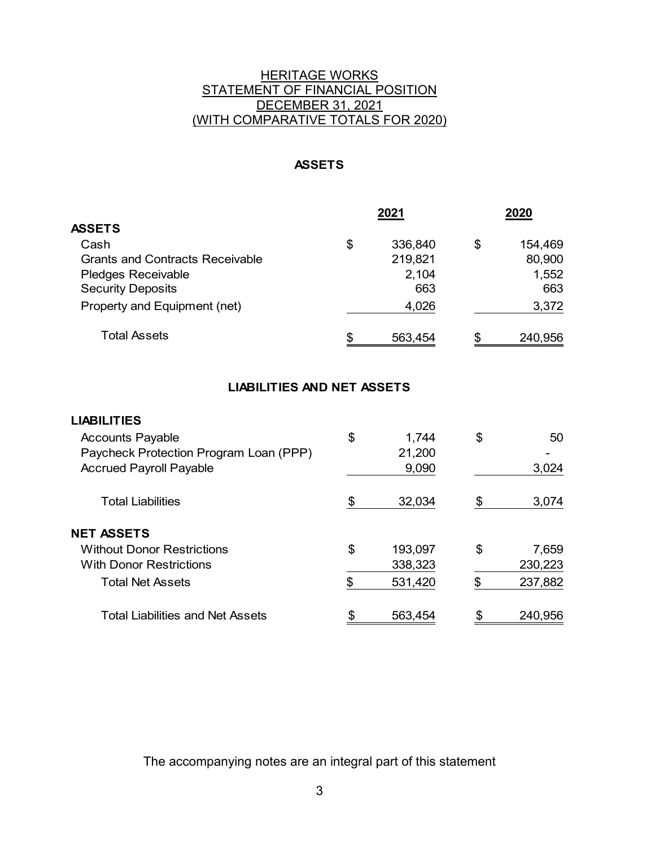# **HERITAGE WORKS** STATEMENT OF FINANCIAL POSITION DECEMBER 31, 2021 (WITH COMPARATIVE TOTALS FOR 2020)

# **ASSETS**

|                                        | 2021          | 2020 |         |  |
|----------------------------------------|---------------|------|---------|--|
| <b>ASSETS</b>                          |               |      |         |  |
| Cash                                   | \$<br>336,840 | \$   | 154,469 |  |
| <b>Grants and Contracts Receivable</b> | 219,821       |      | 80,900  |  |
| Pledges Receivable                     | 2,104         |      | 1,552   |  |
| <b>Security Deposits</b>               | 663           |      | 663     |  |
| Property and Equipment (net)           | 4,026         |      | 3,372   |  |
| Total Assets                           | \$<br>563,454 | £.   | 240,956 |  |

# **LIABILITIES AND NET ASSETS**

#### **LIABILITIES**

| <b>Accounts Payable</b>                | \$<br>1,744   | \$ | 50      |
|----------------------------------------|---------------|----|---------|
| Paycheck Protection Program Loan (PPP) | 21,200        |    |         |
| <b>Accrued Payroll Payable</b>         | 9,090         |    | 3,024   |
| Total Liabilities                      | \$<br>32,034  | S  | 3,074   |
| <b>NET ASSETS</b>                      |               |    |         |
| <b>Without Donor Restrictions</b>      | \$<br>193,097 | \$ | 7,659   |
| <b>With Donor Restrictions</b>         | 338,323       |    | 230,223 |
| Total Net Assets                       | \$<br>531,420 | \$ | 237,882 |
| Total Liabilities and Net Assets       | 563,454       | \$ | 240,956 |

The accompanying notes are an integral part of this statement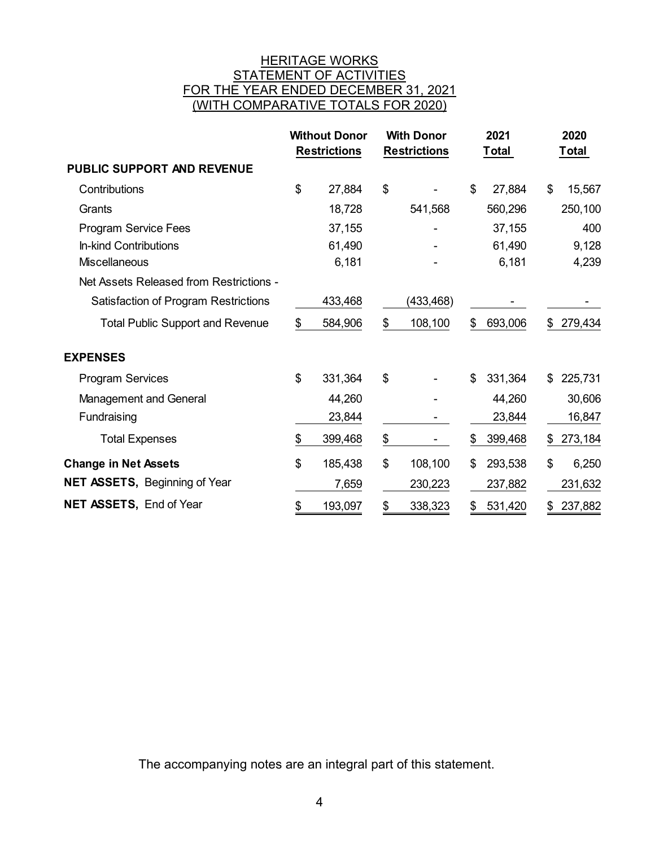# <u>HERITAGE WORKS</u> STATEMENT OF ACTIVITIES FOR THE YEAR ENDED DECEMBER 31, 2021 (WITH COMPARATIVE TOTALS FOR 2020)

|                                             |                | <b>Without Donor</b><br><b>Restrictions</b> | <b>With Donor</b><br><b>Restrictions</b> | 2021<br>Total | 2020<br>Total |
|---------------------------------------------|----------------|---------------------------------------------|------------------------------------------|---------------|---------------|
| <b>PUBLIC SUPPORT AND REVENUE</b>           |                |                                             |                                          |               |               |
| Contributions                               | $\mathfrak{S}$ | 27,884                                      | \$                                       | \$<br>27,884  | \$<br>15,567  |
| Grants                                      |                | 18,728                                      | 541,568                                  | 560,296       | 250,100       |
| <b>Program Service Fees</b>                 |                | 37,155                                      |                                          | 37,155        | 400           |
| In-kind Contributions                       |                | 61,490                                      |                                          | 61,490        | 9,128         |
| <b>Miscellaneous</b>                        |                | 6,181                                       |                                          | 6,181         | 4,239         |
| Net Assets Released from Restrictions -     |                |                                             |                                          |               |               |
| <b>Satisfaction of Program Restrictions</b> |                | 433,468                                     | (433,468)                                |               |               |
| <b>Total Public Support and Revenue</b>     | \$             | 584,906                                     | \$<br>108,100                            | \$<br>693,006 | \$<br>279,434 |
| <b>EXPENSES</b>                             |                |                                             |                                          |               |               |
| <b>Program Services</b>                     | \$             | 331,364                                     | \$                                       | \$<br>331,364 | \$<br>225,731 |
| Management and General                      |                | 44,260                                      |                                          | 44,260        | 30,606        |
| Fundraising                                 |                | 23,844                                      |                                          | 23,844        | 16,847        |
| <b>Total Expenses</b>                       | \$             | 399,468                                     | \$                                       | \$<br>399,468 | \$<br>273,184 |
| <b>Change in Net Assets</b>                 | \$             | 185,438                                     | \$<br>108,100                            | \$<br>293,538 | \$<br>6,250   |
| NET ASSETS, Beginning of Year               |                | 7,659                                       | 230,223                                  | 237,882       | 231,632       |
| NET ASSETS, End of Year                     | \$             | 193,097                                     | \$<br>338,323                            | \$<br>531,420 | \$<br>237,882 |

The accompanying notes are an integral part of this statement.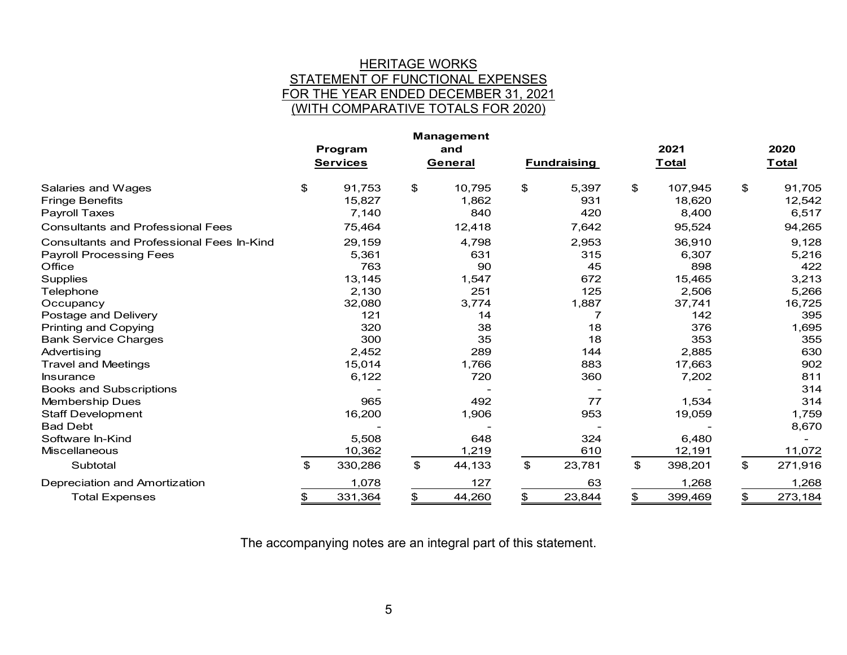### <u>HERITAGE WORKS</u> STATEMENT OF FUNCTIONAL EXPENSES FOR THE YEAR ENDED DECEMBER 31, 2021 (WITH COMPARATIVE TOTALS FOR 2020)

|                                                  |                 |     | Management |                |                    |      |              |               |
|--------------------------------------------------|-----------------|-----|------------|----------------|--------------------|------|--------------|---------------|
|                                                  | Program         | and |            |                |                    | 2021 |              | 2020          |
|                                                  | <b>Services</b> |     | General    |                | <b>Fundraising</b> |      | <b>Total</b> | <u>Total</u>  |
| Salaries and Wages                               | \$<br>91,753    | \$  | 10,795     | \$             | 5,397              | \$   | 107,945      | \$<br>91,705  |
| <b>Fringe Benefits</b>                           | 15,827          |     | 1,862      |                | 931                |      | 18,620       | 12,542        |
| <b>Payroll Taxes</b>                             | 7,140           |     | 840        |                | 420                |      | 8,400        | 6,517         |
| <b>Consultants and Professional Fees</b>         | 75,464          |     | 12,418     |                | 7,642              |      | 95,524       | 94,265        |
| <b>Consultants and Professional Fees In-Kind</b> | 29,159          |     | 4,798      |                | 2,953              |      | 36,910       | 9,128         |
| <b>Payroll Processing Fees</b>                   | 5,361           |     | 631        |                | 315                |      | 6,307        | 5,216         |
| Office                                           | 763             |     | 90         |                | 45                 |      | 898          | 422           |
| <b>Supplies</b>                                  | 13,145          |     | 1,547      |                | 672                |      | 15,465       | 3,213         |
| Telephone                                        | 2,130           |     | 251        |                | 125                |      | 2,506        | 5,266         |
| Occupancy                                        | 32,080          |     | 3,774      |                | 1,887              |      | 37,741       | 16,725        |
| Postage and Delivery                             | 121             |     | 14         |                |                    |      | 142          | 395           |
| <b>Printing and Copying</b>                      | 320             |     | 38         |                | 18                 |      | 376          | 1,695         |
| <b>Bank Service Charges</b>                      | 300             |     | 35         |                | 18                 |      | 353          | 355           |
| Advertising                                      | 2,452           |     | 289        |                | 144                |      | 2,885        | 630           |
| <b>Travel and Meetings</b>                       | 15,014          |     | 1,766      |                | 883                |      | 17,663       | 902           |
| Insurance                                        | 6,122           |     | 720        |                | 360                |      | 7,202        | 811           |
| <b>Books and Subscriptions</b>                   |                 |     |            |                |                    |      |              | 314           |
| Membership Dues                                  | 965             |     | 492        |                | 77                 |      | 1,534        | 314           |
| <b>Staff Development</b>                         | 16,200          |     | 1,906      |                | 953                |      | 19,059       | 1,759         |
| <b>Bad Debt</b>                                  |                 |     |            |                |                    |      |              | 8,670         |
| Software In-Kind                                 | 5,508           |     | 648        |                | 324                |      | 6,480        |               |
| <b>Miscellaneous</b>                             | 10,362          |     | 1,219      |                | 610                |      | 12,191       | 11,072        |
| Subtotal                                         | \$<br>330,286   | \$  | 44,133     | $\mathfrak{P}$ | 23,781             | \$   | 398,201      | \$<br>271,916 |
| Depreciation and Amortization                    | 1,078           |     | 127        |                | 63                 |      | 1,268        | 1,268         |
| <b>Total Expenses</b>                            | \$<br>331,364   | \$  | 44,260     | \$             | 23,844             | \$   | 399,469      | \$<br>273,184 |

The accompanying notes are an integral part of this statement.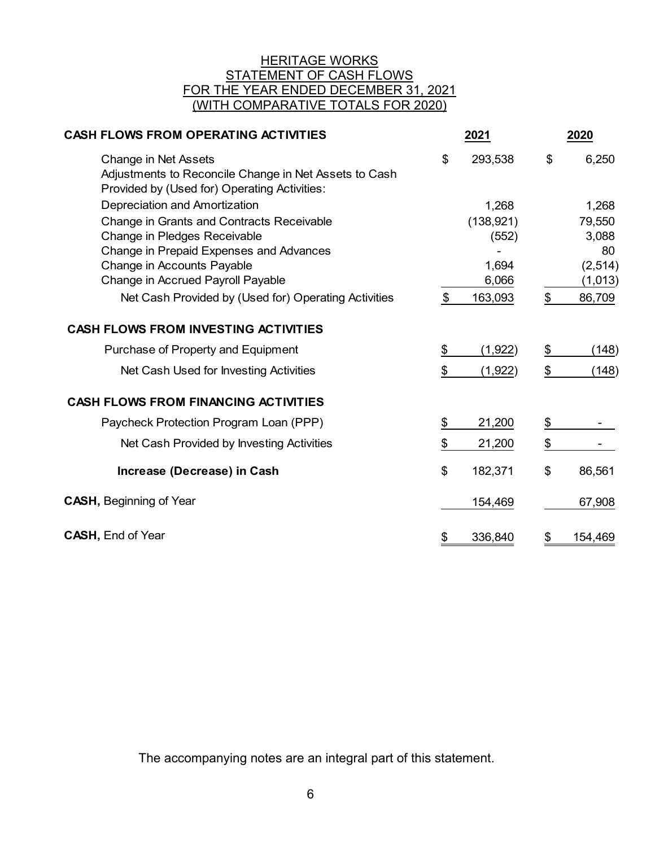## <u>HERITAGE WORKS</u> STATEMENT OF CASH FLOWS FOR THE YEAR ENDED DECEMBER 31, 2021 (WITH COMPARATIVE TOTALS FOR 2020)

| <b>CASH FLOWS FROM OPERATING ACTIVITIES</b>                                                                                          | 2021           | 2020          |
|--------------------------------------------------------------------------------------------------------------------------------------|----------------|---------------|
| <b>Change in Net Assets</b><br>Adjustments to Reconcile Change in Net Assets to Cash<br>Provided by (Used for) Operating Activities: | \$<br>293,538  | \$<br>6,250   |
| Depreciation and Amortization                                                                                                        | 1,268          | 1,268         |
| Change in Grants and Contracts Receivable                                                                                            | (138, 921)     | 79,550        |
| Change in Pledges Receivable                                                                                                         | (552)          | 3,088         |
| Change in Prepaid Expenses and Advances                                                                                              |                | 80            |
| Change in Accounts Payable                                                                                                           | 1,694          | (2, 514)      |
| Change in Accrued Payroll Payable                                                                                                    | 6,066          | (1,013)       |
| Net Cash Provided by (Used for) Operating Activities                                                                                 | \$<br>163,093  | \$<br>86,709  |
| <b>CASH FLOWS FROM INVESTING ACTIVITIES</b>                                                                                          |                |               |
| Purchase of Property and Equipment                                                                                                   | \$<br>(1, 922) | \$<br>(148)   |
| Net Cash Used for Investing Activities                                                                                               | \$<br>(1, 922) | \$<br>(148)   |
| <b>CASH FLOWS FROM FINANCING ACTIVITIES</b>                                                                                          |                |               |
| Paycheck Protection Program Loan (PPP)                                                                                               | \$<br>21,200   | \$            |
| Net Cash Provided by Investing Activities                                                                                            | \$<br>21,200   | \$            |
| Increase (Decrease) in Cash                                                                                                          | \$<br>182,371  | \$<br>86,561  |
| <b>CASH, Beginning of Year</b>                                                                                                       | 154,469        | 67,908        |
| <b>CASH, End of Year</b>                                                                                                             | \$<br>336,840  | \$<br>154,469 |

The accompanying notes are an integral part of this statement.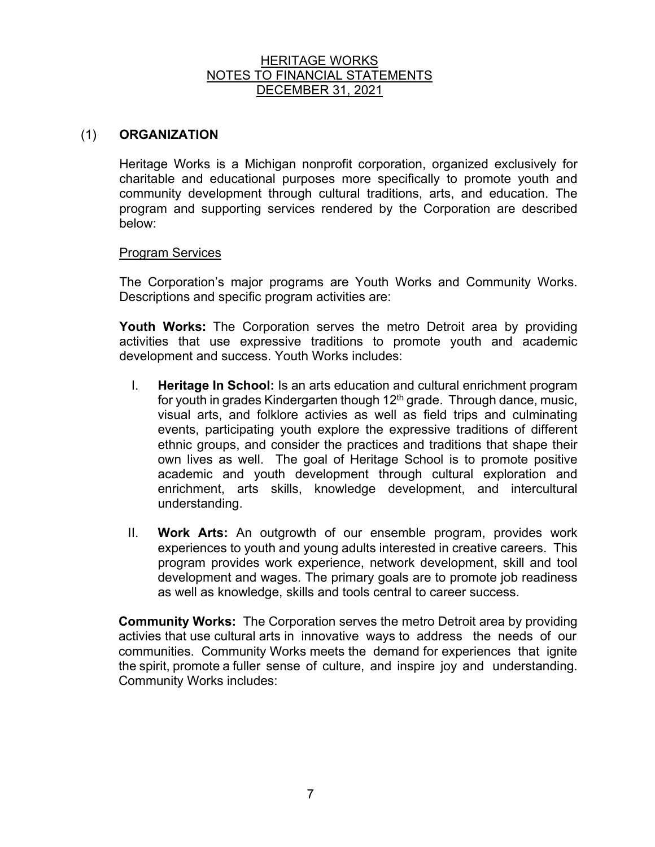# (1) **ORGANIZATION**

Heritage Works is a Michigan nonprofit corporation, organized exclusively for charitable and educational purposes more specifically to promote youth and community development through cultural traditions, arts, and education. The program and supporting services rendered by the Corporation are described below:

### Program Services

The Corporation's major programs are Youth Works and Community Works. Descriptions and specific program activities are:

**Youth Works:** The Corporation serves the metro Detroit area by providing activities that use expressive traditions to promote youth and academic development and success. Youth Works includes:

- I. **Heritage In School:** Is an arts education and cultural enrichment program for youth in grades Kindergarten though 12<sup>th</sup> grade. Through dance, music, visual arts, and folklore activies as well as field trips and culminating events, participating youth explore the expressive traditions of different ethnic groups, and consider the practices and traditions that shape their own lives as well. The goal of Heritage School is to promote positive academic and youth development through cultural exploration and enrichment, arts skills, knowledge development, and intercultural understanding.
- II. **Work Arts:** An outgrowth of our ensemble program, provides work experiences to youth and young adults interested in creative careers. This program provides work experience, network development, skill and tool development and wages. The primary goals are to promote job readiness as well as knowledge, skills and tools central to career success.

 **Community Works:** The Corporation serves the metro Detroit area by providing activies that use cultural arts in innovative ways to address the needs of our communities. Community Works meets the demand for experiences that ignite the spirit, promote a fuller sense of culture, and inspire joy and understanding. Community Works includes: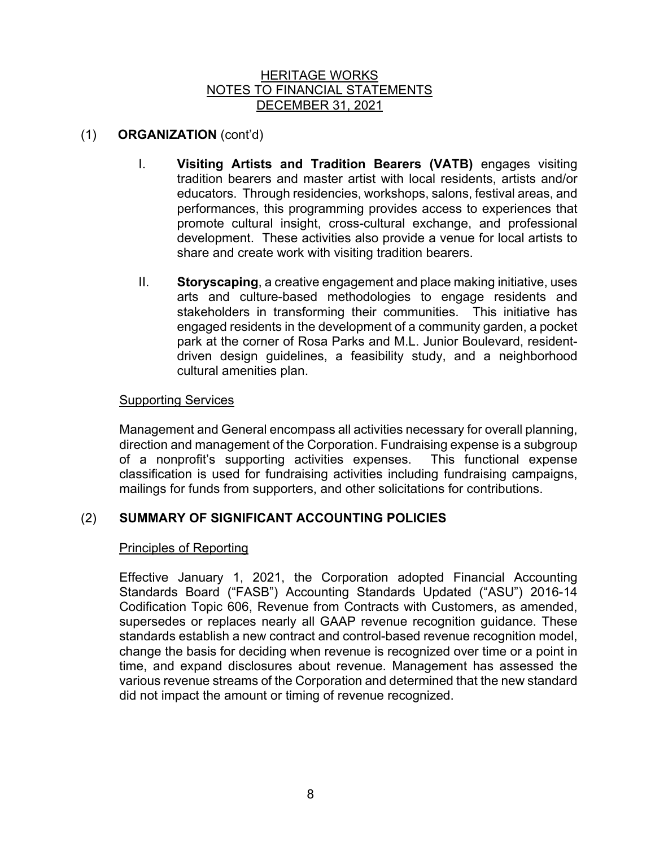# (1) **ORGANIZATION** (cont'd)

- I. **Visiting Artists and Tradition Bearers (VATB)** engages visiting tradition bearers and master artist with local residents, artists and/or educators. Through residencies, workshops, salons, festival areas, and performances, this programming provides access to experiences that promote cultural insight, cross-cultural exchange, and professional development. These activities also provide a venue for local artists to share and create work with visiting tradition bearers.
- II. **Storyscaping**, a creative engagement and place making initiative, uses arts and culture-based methodologies to engage residents and stakeholders in transforming their communities. This initiative has engaged residents in the development of a community garden, a pocket park at the corner of Rosa Parks and M.L. Junior Boulevard, residentdriven design guidelines, a feasibility study, and a neighborhood cultural amenities plan.

# Supporting Services

Management and General encompass all activities necessary for overall planning, direction and management of the Corporation. Fundraising expense is a subgroup of a nonprofit's supporting activities expenses. This functional expense classification is used for fundraising activities including fundraising campaigns, mailings for funds from supporters, and other solicitations for contributions.

# (2) **SUMMARY OF SIGNIFICANT ACCOUNTING POLICIES**

# Principles of Reporting

Effective January 1, 2021, the Corporation adopted Financial Accounting Standards Board ("FASB") Accounting Standards Updated ("ASU") 2016-14 Codification Topic 606, Revenue from Contracts with Customers, as amended, supersedes or replaces nearly all GAAP revenue recognition guidance. These standards establish a new contract and control-based revenue recognition model, change the basis for deciding when revenue is recognized over time or a point in time, and expand disclosures about revenue. Management has assessed the various revenue streams of the Corporation and determined that the new standard did not impact the amount or timing of revenue recognized.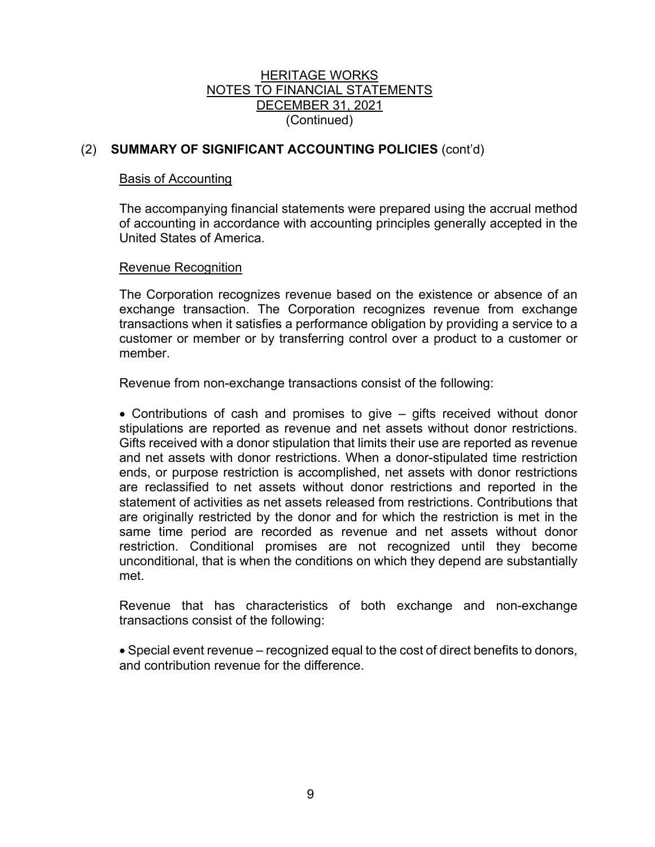# HERITAGE WORKS NOTES TO FINANCIAL STATEMENTS DECEMBER 31, 2021 (Continued)

# (2) **SUMMARY OF SIGNIFICANT ACCOUNTING POLICIES** (cont'd)

### Basis of Accounting

The accompanying financial statements were prepared using the accrual method of accounting in accordance with accounting principles generally accepted in the United States of America.

### Revenue Recognition

The Corporation recognizes revenue based on the existence or absence of an exchange transaction. The Corporation recognizes revenue from exchange transactions when it satisfies a performance obligation by providing a service to a customer or member or by transferring control over a product to a customer or member.

Revenue from non-exchange transactions consist of the following:

• Contributions of cash and promises to give – gifts received without donor stipulations are reported as revenue and net assets without donor restrictions. Gifts received with a donor stipulation that limits their use are reported as revenue and net assets with donor restrictions. When a donor-stipulated time restriction ends, or purpose restriction is accomplished, net assets with donor restrictions are reclassified to net assets without donor restrictions and reported in the statement of activities as net assets released from restrictions. Contributions that are originally restricted by the donor and for which the restriction is met in the same time period are recorded as revenue and net assets without donor restriction. Conditional promises are not recognized until they become unconditional, that is when the conditions on which they depend are substantially met.

Revenue that has characteristics of both exchange and non-exchange transactions consist of the following:

• Special event revenue – recognized equal to the cost of direct benefits to donors, and contribution revenue for the difference.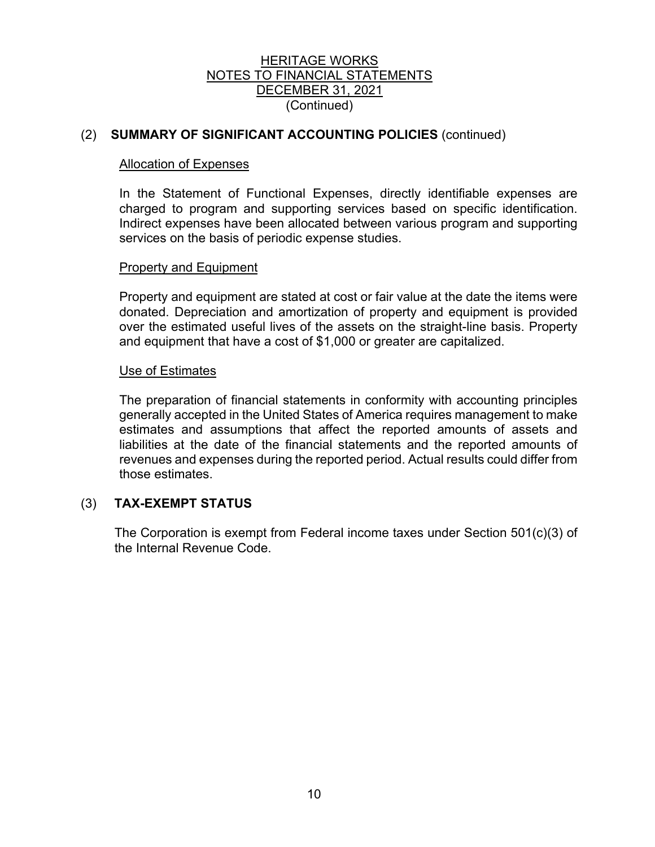# HERITAGE WORKS NOTES TO FINANCIAL STATEMENTS DECEMBER 31, 2021 (Continued)

# (2) **SUMMARY OF SIGNIFICANT ACCOUNTING POLICIES** (continued)

### Allocation of Expenses

In the Statement of Functional Expenses, directly identifiable expenses are charged to program and supporting services based on specific identification. Indirect expenses have been allocated between various program and supporting services on the basis of periodic expense studies.

### Property and Equipment

Property and equipment are stated at cost or fair value at the date the items were donated. Depreciation and amortization of property and equipment is provided over the estimated useful lives of the assets on the straight-line basis. Property and equipment that have a cost of \$1,000 or greater are capitalized.

### Use of Estimates

The preparation of financial statements in conformity with accounting principles generally accepted in the United States of America requires management to make estimates and assumptions that affect the reported amounts of assets and liabilities at the date of the financial statements and the reported amounts of revenues and expenses during the reported period. Actual results could differ from those estimates.

# (3) **TAX-EXEMPT STATUS**

The Corporation is exempt from Federal income taxes under Section 501(c)(3) of the Internal Revenue Code.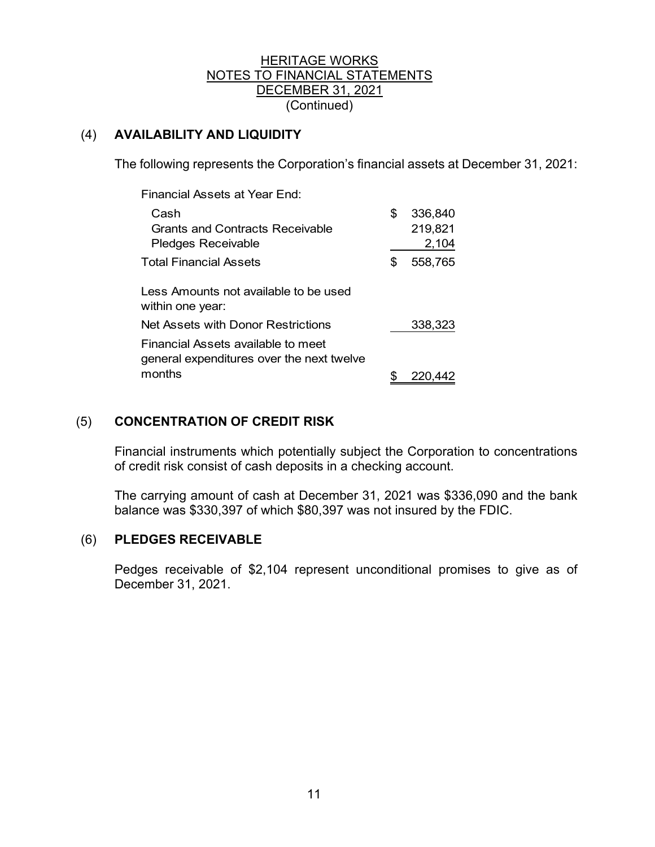# HERITAGE WORKS NOTES TO FINANCIAL STATEMENTS DECEMBER 31, 2021 (Continued)

# (4) **AVAILABILITY AND LIQUIDITY**

The following represents the Corporation's financial assets at December 31, 2021:

| \$ | 336,840 |
|----|---------|
|    | 219,821 |
|    | 2,104   |
| S  | 558,765 |
|    |         |
|    |         |
|    |         |
|    | 338,323 |
|    |         |
|    |         |
|    | 220.442 |
|    |         |

# (5) **CONCENTRATION OF CREDIT RISK**

Financial instruments which potentially subject the Corporation to concentrations of credit risk consist of cash deposits in a checking account.

The carrying amount of cash at December 31, 2021 was \$336,090 and the bank balance was \$330,397 of which \$80,397 was not insured by the FDIC.

# (6) **PLEDGES RECEIVABLE**

Pedges receivable of \$2,104 represent unconditional promises to give as of December 31, 2021.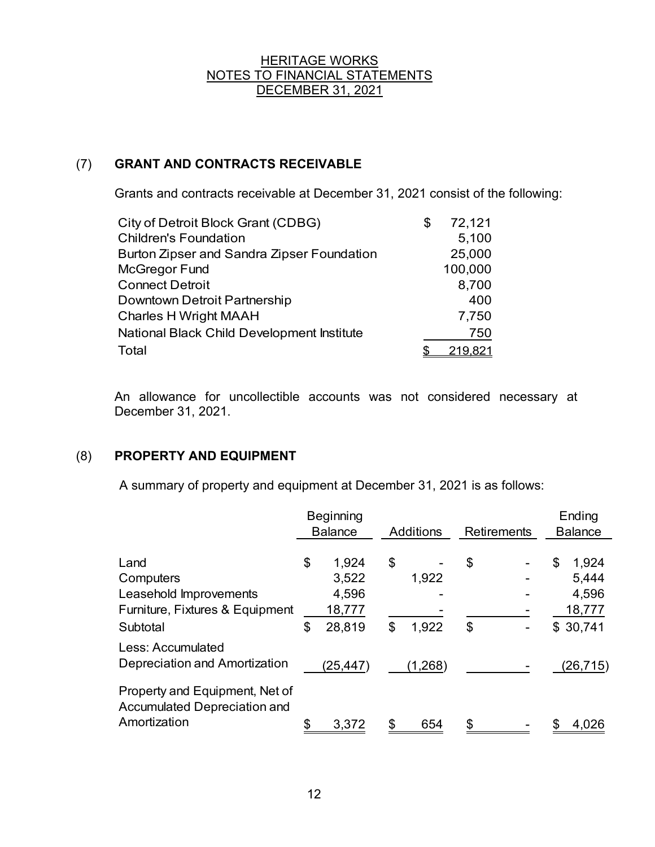# (7) **GRANT AND CONTRACTS RECEIVABLE**

Grants and contracts receivable at December 31, 2021 consist of the following:

| City of Detroit Block Grant (CDBG)         | \$<br>72,121 |
|--------------------------------------------|--------------|
| <b>Children's Foundation</b>               | 5,100        |
| Burton Zipser and Sandra Zipser Foundation | 25,000       |
| McGregor Fund                              | 100,000      |
| <b>Connect Detroit</b>                     | 8,700        |
| Downtown Detroit Partnership               | 400          |
| <b>Charles H Wright MAAH</b>               | 7,750        |
| National Black Child Development Institute | 750          |
| Total                                      |              |

An allowance for uncollectible accounts was not considered necessary at December 31, 2021.

# (8) **PROPERTY AND EQUIPMENT**

A summary of property and equipment at December 31, 2021 is as follows:

|                                                                                | <b>Beginning</b><br><b>Balance</b> |                                   | <b>Additions</b> |                  | <b>Retirements</b> |  | Ending<br><b>Balance</b> |                                   |
|--------------------------------------------------------------------------------|------------------------------------|-----------------------------------|------------------|------------------|--------------------|--|--------------------------|-----------------------------------|
| Land<br>Computers<br>Leasehold Improvements<br>Furniture, Fixtures & Equipment | \$                                 | 1,924<br>3,522<br>4,596<br>18,777 | \$               | 1,922            | \$                 |  | \$                       | 1,924<br>5,444<br>4,596<br>18,777 |
| Subtotal<br>Less: Accumulated<br>Depreciation and Amortization                 | \$                                 | 28,819<br>(25,447)                | \$               | 1,922<br>(1,268) | \$                 |  |                          | \$30,741<br>(26,715)              |
| Property and Equipment, Net of<br>Accumulated Depreciation and<br>Amortization |                                    | 3,372                             |                  | 654              |                    |  |                          | 4,026                             |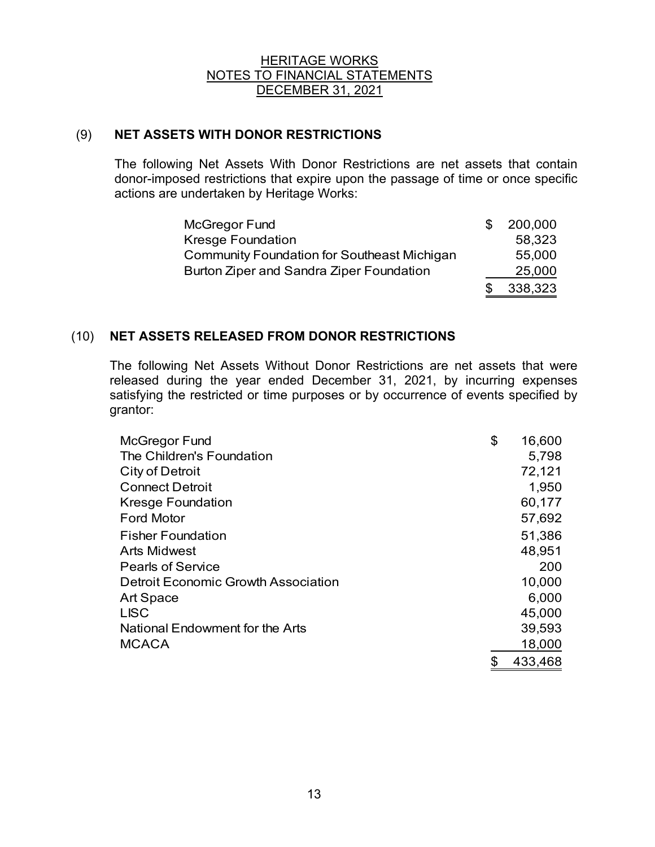# (9) **NET ASSETS WITH DONOR RESTRICTIONS**

The following Net Assets With Donor Restrictions are net assets that contain donor-imposed restrictions that expire upon the passage of time or once specific actions are undertaken by Heritage Works:

| McGregor Fund                               | \$<br>200,000 |
|---------------------------------------------|---------------|
| <b>Kresge Foundation</b>                    | 58,323        |
| Community Foundation for Southeast Michigan | 55,000        |
| Burton Ziper and Sandra Ziper Foundation    | 25,000        |
|                                             | 338,323       |

# (10) **NET ASSETS RELEASED FROM DONOR RESTRICTIONS**

The following Net Assets Without Donor Restrictions are net assets that were released during the year ended December 31, 2021, by incurring expenses satisfying the restricted or time purposes or by occurrence of events specified by grantor:

| McGregor Fund                       | \$<br>16,600 |
|-------------------------------------|--------------|
| The Children's Foundation           | 5,798        |
| <b>City of Detroit</b>              | 72,121       |
| <b>Connect Detroit</b>              | 1,950        |
| <b>Kresge Foundation</b>            | 60,177       |
| <b>Ford Motor</b>                   | 57,692       |
| <b>Fisher Foundation</b>            | 51,386       |
| <b>Arts Midwest</b>                 | 48,951       |
| <b>Pearls of Service</b>            | 200          |
| Detroit Economic Growth Association | 10,000       |
| Art Space                           | 6,000        |
| <b>LISC</b>                         | 45,000       |
| National Endowment for the Arts     | 39,593       |
| <b>MCACA</b>                        | 18,000       |
|                                     | 433,468      |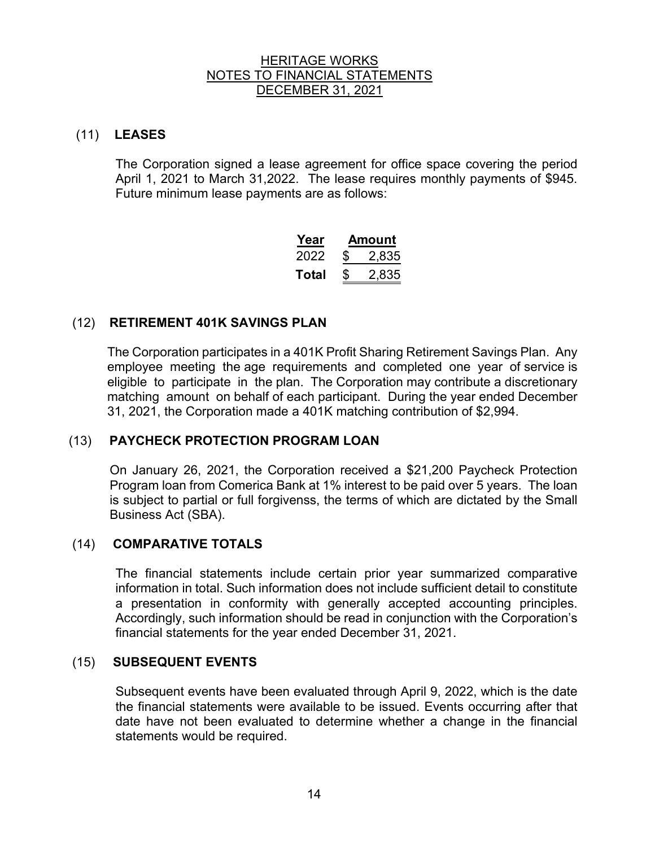# (11) **LEASES**

The Corporation signed a lease agreement for office space covering the period April 1, 2021 to March 31,2022. The lease requires monthly payments of \$945. Future minimum lease payments are as follows:

| Year  | Amount |       |  |  |  |  |
|-------|--------|-------|--|--|--|--|
| 2022  | \$     | 2,835 |  |  |  |  |
| Total | \$     | 2,835 |  |  |  |  |

# (12) **RETIREMENT 401K SAVINGS PLAN**

 The Corporation participates in a 401K Profit Sharing Retirement Savings Plan. Any employee meeting the age requirements and completed one year of service is eligible to participate in the plan. The Corporation may contribute a discretionary matching amount on behalf of each participant. During the year ended December 31, 2021, the Corporation made a 401K matching contribution of \$2,994.

# (13) **PAYCHECK PROTECTION PROGRAM LOAN**

On January 26, 2021, the Corporation received a \$21,200 Paycheck Protection Program loan from Comerica Bank at 1% interest to be paid over 5 years. The loan is subject to partial or full forgivenss, the terms of which are dictated by the Small Business Act (SBA).

# (14) **COMPARATIVE TOTALS**

The financial statements include certain prior year summarized comparative information in total. Such information does not include sufficient detail to constitute a presentation in conformity with generally accepted accounting principles. Accordingly, such information should be read in conjunction with the Corporation's financial statements for the year ended December 31, 2021.

# (15) **SUBSEQUENT EVENTS**

 Subsequent events have been evaluated through April 9, 2022, which is the date the financial statements were available to be issued. Events occurring after that date have not been evaluated to determine whether a change in the financial statements would be required.